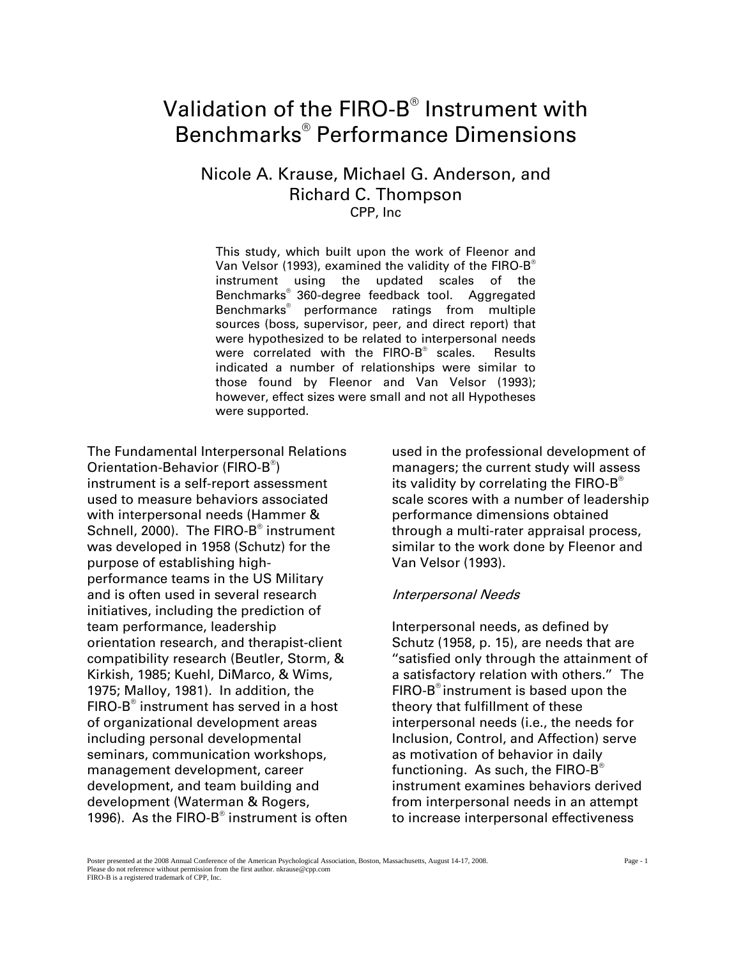# Validation of the FIRO-B $^\circ$  Instrument with Benchmarks® Performance Dimensions

# Nicole A. Krause, Michael G. Anderson, and Richard C. Thompson CPP, Inc

were correlated with the  ${\sf FIRO\text{-}B}^\circ$  scales. Results This study, which built upon the work of Fleenor and Van Velsor (1993), examined the validity of the FIRO-B® instrument using the updated scales of the Benchmarks® 360-degree feedback tool. Aggregated Benchmarks® performance ratings from multiple sources (boss, supervisor, peer, and direct report) that were hypothesized to be related to interpersonal needs indicated a number of relationships were similar to those found by Fleenor and Van Velsor (1993); however, effect sizes were small and not all Hypotheses were supported.

The Fundamental Interpersonal Relations Orientation-Behavior (FIRO-B® ) instrument is a self-report assessment used to measure behaviors associated with interpersonal needs (Hammer & Schnell, 2000). The FIRO-B® instrument was developed in 1958 (Schutz) for the purpose of establishing highperformance teams in the US Military and is often used in several research initiatives, including the prediction of team performance, leadership orientation research, and therapist-client compatibility research (Beutler, Storm, & Kirkish, 1985; Kuehl, DiMarco, & Wims, 1975; Malloy, 1981). In addition, the FIRO-B® instrument has served in a host of organizational development areas including personal developmental seminars, communication workshops, management development, career development, and team building and development (Waterman & Rogers, 1996). As the FIRO-B<sup>®</sup> instrument is often

used in the professional development of managers; the current study will assess its validity by correlating the  $FIRO-B^{\circledcirc}$ scale scores with a number of leadership performance dimensions obtained through a multi-rater appraisal process, similar to the work done by Fleenor and Van Velsor (1993).

#### Interpersonal Needs

Interpersonal needs, as defined by Schutz (1958, p. 15), are needs that are ''satisfied only through the attainment of a satisfactory relation with others.'' The  $FIRO-B<sup>®</sup>$  instrument is based upon the theory that fulfillment of these interpersonal needs (i.e., the needs for Inclusion, Control, and Affection) serve as motivation of behavior in daily functioning. As such, the  $FIRO-B^{\circledcirc}$ instrument examines behaviors derived from interpersonal needs in an attempt to increase interpersonal effectiveness

Poster presented at the 2008 Annual Conference of the American Psychological Association, Boston, Massachusetts, August 14-17, 2008. Page - 1 Please do not reference without permission from the first author. nkrause@cpp.com FIRO-B is a registered trademark of CPP, Inc.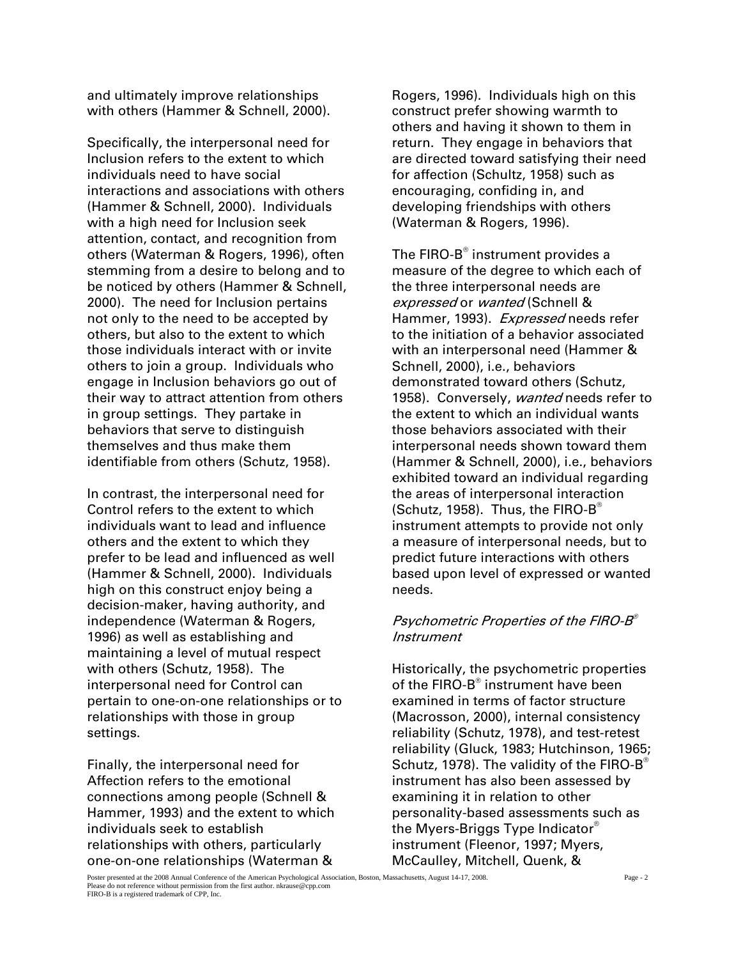and ultimately improve relationships with others (Hammer & Schnell, 2000).

Specifically, the interpersonal need for Inclusion refers to the extent to which individuals need to have social interactions and associations with others (Hammer & Schnell, 2000). Individuals with a high need for Inclusion seek attention, contact, and recognition from others (Waterman & Rogers, 1996), often stemming from a desire to belong and to be noticed by others (Hammer & Schnell, 2000). The need for Inclusion pertains not only to the need to be accepted by others, but also to the extent to which those individuals interact with or invite others to join a group. Individuals who engage in Inclusion behaviors go out of their way to attract attention from others in group settings. They partake in behaviors that serve to distinguish themselves and thus make them identifiable from others (Schutz, 1958).

In contrast, the interpersonal need for Control refers to the extent to which individuals want to lead and influence others and the extent to which they prefer to be lead and influenced as well (Hammer & Schnell, 2000). Individuals high on this construct enjoy being a decision-maker, having authority, and independence (Waterman & Rogers, 1996) as well as establishing and maintaining a level of mutual respect with others (Schutz, 1958). The interpersonal need for Control can pertain to one-on-one relationships or to relationships with those in group settings.

Finally, the interpersonal need for Affection refers to the emotional connections among people (Schnell & Hammer, 1993) and the extent to which individuals seek to establish relationships with others, particularly one-on-one relationships (Waterman &

Rogers, 1996). Individuals high on this construct prefer showing warmth to others and having it shown to them in return. They engage in behaviors that are directed toward satisfying their need for affection (Schultz, 1958) such as encouraging, confiding in, and developing friendships with others (Waterman & Rogers, 1996).

The FIRO-B $^\circ$  instrument provides a measure of the degree to which each of the three interpersonal needs are expressed or wanted (Schnell & Hammer, 1993). Expressed needs refer to the initiation of a behavior associated with an interpersonal need (Hammer & Schnell, 2000), i.e., behaviors demonstrated toward others (Schutz, 1958). Conversely, wanted needs refer to the extent to which an individual wants those behaviors associated with their interpersonal needs shown toward them (Hammer & Schnell, 2000), i.e., behaviors exhibited toward an individual regarding the areas of interpersonal interaction (Schutz, 1958). Thus, the FIRO-B<sup>®</sup> instrument attempts to provide not only a measure of interpersonal needs, but to predict future interactions with others based upon level of expressed or wanted needs.

## Psychometric Properties of the FIRO-B® **Instrument**

Historically, the psychometric properties of the FIRO-B $^{\circ}$  instrument have been examined in terms of factor structure (Macrosson, 2000), internal consistency reliability (Schutz, 1978), and test-retest reliability (Gluck, 1983; Hutchinson, 1965; Schutz, 1978). The validity of the FIRO-B<sup>®</sup> instrument has also been assessed by examining it in relation to other personality-based assessments such as the Myers-Briggs Type Indicator® instrument (Fleenor, 1997; Myers, McCaulley, Mitchell, Quenk, &

Poster presented at the 2008 Annual Conference of the American Psychological Association, Boston, Massachusetts, August 14-17, 2008. Page - 2 Please do not reference without permission from the first author. nkrause@cpp.com FIRO-B is a registered trademark of CPP, Inc.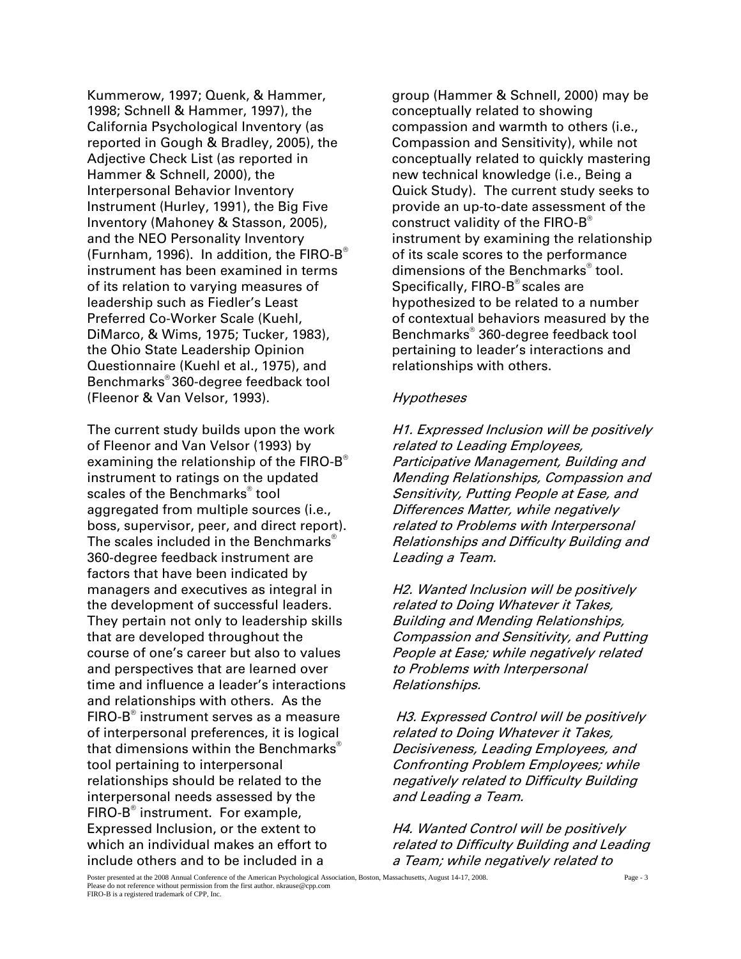Kummerow, 1997; Quenk, & Hammer, 1998; Schnell & Hammer, 1997), the California Psychological Inventory (as reported in Gough & Bradley, 2005), the Adjective Check List (as reported in Hammer & Schnell, 2000), the Interpersonal Behavior Inventory Instrument (Hurley, 1991), the Big Five Inventory (Mahoney & Stasson, 2005), and the NEO Personality Inventory (Furnham, 1996). In addition, the FIRO- $B^{\circ}$ instrument has been examined in terms of its relation to varying measures of leadership such as Fiedler's Least Preferred Co-Worker Scale (Kuehl, DiMarco, & Wims, 1975; Tucker, 1983), the Ohio State Leadership Opinion Questionnaire (Kuehl et al., 1975), and Benchmarks® 360-degree feedback tool (Fleenor & Van Velsor, 1993).

The current study builds upon the work of Fleenor and Van Velsor (1993) by examining the relationship of the FIRO-B<sup>®</sup> instrument to ratings on the updated scales of the Benchmarks® tool aggregated from multiple sources (i.e., boss, supervisor, peer, and direct report). The scales included in the Benchmarks<sup>®</sup> 360-degree feedback instrument are factors that have been indicated by managers and executives as integral in the development of successful leaders. They pertain not only to leadership skills that are developed throughout the course of one's career but also to values and perspectives that are learned over time and influence a leader's interactions and relationships with others. As the  ${\sf FIRO}\text{-}{\sf B}^{\sf \tiny \textcircled{\tiny \rm G}}$  instrument serves as a measure of interpersonal preferences, it is logical that dimensions within the Benchmarks<sup>®</sup> tool pertaining to interpersonal relationships should be related to the interpersonal needs assessed by the FIRO-B<sup>®</sup> instrument. For example, Expressed Inclusion, or the extent to which an individual makes an effort to include others and to be included in a

group (Hammer & Schnell, 2000) may be conceptually related to showing compassion and warmth to others (i.e., Compassion and Sensitivity), while not conceptually related to quickly mastering new technical knowledge (i.e., Being a Quick Study). The current study seeks to provide an up-to-date assessment of the construct validity of the FIRO- $B^{\circ}$ instrument by examining the relationship of its scale scores to the performance dimensions of the Benchmarks® tool. Specifically, FIRO-B<sup>®</sup> scales are hypothesized to be related to a number of contextual behaviors measured by the Benchmarks® 360-degree feedback tool pertaining to leader's interactions and relationships with others.

#### **Hypotheses**

H1. Expressed Inclusion will be positively related to Leading Employees, Participative Management, Building and Mending Relationships, Compassion and Sensitivity, Putting People at Ease, and Differences Matter, while negatively related to Problems with Interpersonal Relationships and Difficulty Building and Leading a Team.

H2. Wanted Inclusion will be positively related to Doing Whatever it Takes, Building and Mending Relationships, Compassion and Sensitivity, and Putting People at Ease; while negatively related to Problems with Interpersonal Relationships.

 H3. Expressed Control will be positively related to Doing Whatever it Takes, Decisiveness, Leading Employees, and Confronting Problem Employees; while negatively related to Difficulty Building and Leading a Team.

H4. Wanted Control will be positively related to Difficulty Building and Leading a Team; while negatively related to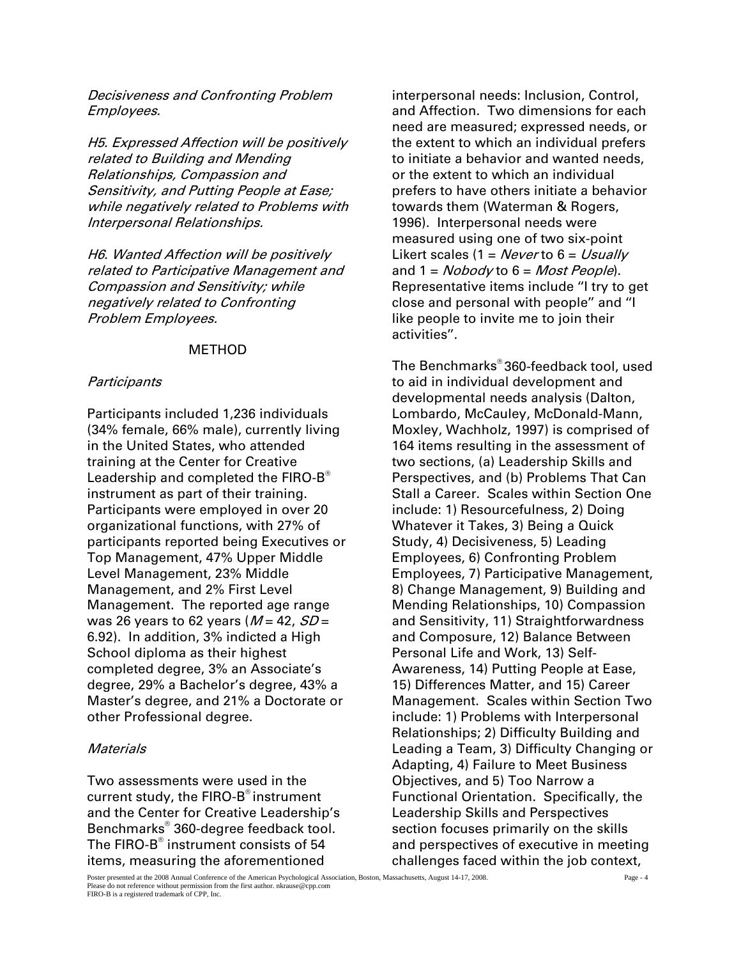Decisiveness and Confronting Problem Employees.

H5. Expressed Affection will be positively related to Building and Mending Relationships, Compassion and Sensitivity, and Putting People at Ease; while negatively related to Problems with Interpersonal Relationships.

H6. Wanted Affection will be positively related to Participative Management and Compassion and Sensitivity; while negatively related to Confronting Problem Employees.

### METHOD

#### **Participants**

Participants included 1,236 individuals (34% female, 66% male), currently living in the United States, who attended training at the Center for Creative Leadership and completed the FIRO-B® instrument as part of their training. Participants were employed in over 20 organizational functions, with 27% of participants reported being Executives or Top Management, 47% Upper Middle Level Management, 23% Middle Management, and 2% First Level Management. The reported age range was 26 years to 62 years ( $M = 42$ ,  $SD =$ 6.92). In addition, 3% indicted a High School diploma as their highest completed degree, 3% an Associate's degree, 29% a Bachelor's degree, 43% a Master's degree, and 21% a Doctorate or other Professional degree.

### **Materials**

Two assessments were used in the current study, the  $FIRO-B^{\circ}$  instrument and the Center for Creative Leadership's Benchmarks® 360-degree feedback tool. The FIRO-B $^{\circ}$  instrument consists of 54 items, measuring the aforementioned

interpersonal needs: Inclusion, Control, and Affection. Two dimensions for each need are measured; expressed needs, or the extent to which an individual prefers to initiate a behavior and wanted needs, or the extent to which an individual prefers to have others initiate a behavior towards them (Waterman & Rogers, 1996). Interpersonal needs were measured using one of two six-point Likert scales (1 = Never to  $6 = Usual/v$ and  $1 = N \cdot \cdot \cdot \cdot 6 = \cdot \cdot \cdot \cdot$ Representative items include ''I try to get close and personal with people'' and ''I like people to invite me to join their activities''.

The Benchmarks® 360-feedback tool, used to aid in individual development and developmental needs analysis (Dalton, Lombardo, McCauley, McDonald-Mann, Moxley, Wachholz, 1997) is comprised of 164 items resulting in the assessment of two sections, (a) Leadership Skills and Perspectives, and (b) Problems That Can Stall a Career. Scales within Section One include: 1) Resourcefulness, 2) Doing Whatever it Takes, 3) Being a Quick Study, 4) Decisiveness, 5) Leading Employees, 6) Confronting Problem Employees, 7) Participative Management, 8) Change Management, 9) Building and Mending Relationships, 10) Compassion and Sensitivity, 11) Straightforwardness and Composure, 12) Balance Between Personal Life and Work, 13) Self-Awareness, 14) Putting People at Ease, 15) Differences Matter, and 15) Career Management. Scales within Section Two include: 1) Problems with Interpersonal Relationships; 2) Difficulty Building and Leading a Team, 3) Difficulty Changing or Adapting, 4) Failure to Meet Business Objectives, and 5) Too Narrow a Functional Orientation. Specifically, the Leadership Skills and Perspectives section focuses primarily on the skills and perspectives of executive in meeting challenges faced within the job context,

Poster presented at the 2008 Annual Conference of the American Psychological Association, Boston, Massachusetts, August 14-17, 2008. Page - 4 Please do not reference without permission from the first author. nkrause@cpp.com FIRO-B is a registered trademark of CPP, Inc.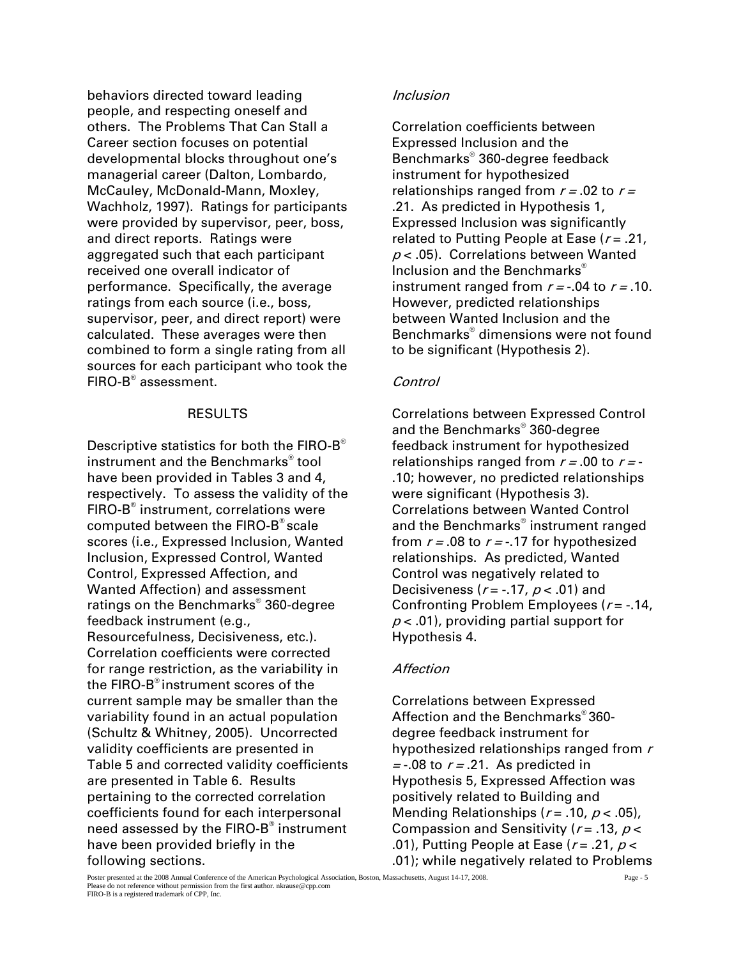behaviors directed toward leading people, and respecting oneself and others. The Problems That Can Stall a Career section focuses on potential developmental blocks throughout one's managerial career (Dalton, Lombardo, McCauley, McDonald-Mann, Moxley, Wachholz, 1997). Ratings for participants were provided by supervisor, peer, boss, and direct reports. Ratings were aggregated such that each participant received one overall indicator of performance. Specifically, the average ratings from each source (i.e., boss, supervisor, peer, and direct report) were calculated. These averages were then combined to form a single rating from all sources for each participant who took the FIRO-B® assessment.

## RESULTS

Descriptive statistics for both the FIRO-B<sup>®</sup> instrument and the Benchmarks® tool have been provided in Tables 3 and 4, respectively. To assess the validity of the FIRO-B<sup>®</sup> instrument, correlations were computed between the FIRO-B® scale scores (i.e., Expressed Inclusion, Wanted Inclusion, Expressed Control, Wanted Control, Expressed Affection, and Wanted Affection) and assessment ratings on the Benchmarks® 360-degree feedback instrument (e.g., Resourcefulness, Decisiveness, etc.). Correlation coefficients were corrected for range restriction, as the variability in the FIRO-B® instrument scores of the current sample may be smaller than the variability found in an actual population (Schultz & Whitney, 2005). Uncorrected validity coefficients are presented in Table 5 and corrected validity coefficients are presented in Table 6. Results pertaining to the corrected correlation coefficients found for each interpersonal need assessed by the FIRO-B® instrument have been provided briefly in the following sections.

## Inclusion

Correlation coefficients between Expressed Inclusion and the Benchmarks® 360-degree feedback instrument for hypothesized relationships ranged from  $r = .02$  to  $r =$ .21. As predicted in Hypothesis 1, Expressed Inclusion was significantly related to Putting People at Ease  $(r = .21)$ ,  $p < .05$ ). Correlations between Wanted Inclusion and the Benchmarks® instrument ranged from  $r = -0.04$  to  $r = 0.10$ . However, predicted relationships between Wanted Inclusion and the Benchmarks® dimensions were not found to be significant (Hypothesis 2).

## Control

Correlations between Expressed Control and the Benchmarks® 360-degree feedback instrument for hypothesized relationships ranged from  $r = .00$  to  $r = -$ .10; however, no predicted relationships were significant (Hypothesis 3). Correlations between Wanted Control and the Benchmarks® instrument ranged from  $r = .08$  to  $r = -.17$  for hypothesized relationships. As predicted, Wanted Control was negatively related to Decisiveness ( $r = -17$ ,  $p < .01$ ) and Confronting Problem Employees  $(r = -14,$  $p < .01$ , providing partial support for Hypothesis 4.

## **Affection**

Correlations between Expressed Affection and the Benchmarks® 360 degree feedback instrument for hypothesized relationships ranged from  $r$  $=$  -.08 to  $r = .21$ . As predicted in Hypothesis 5, Expressed Affection was positively related to Building and Mending Relationships ( $r = .10$ ,  $p < .05$ ), Compassion and Sensitivity ( $r = .13$ ,  $p <$ .01), Putting People at Ease ( $r = .21$ ,  $p <$ .01); while negatively related to Problems

Poster presented at the 2008 Annual Conference of the American Psychological Association, Boston, Massachusetts, August 14-17, 2008. Page - 5 Please do not reference without permission from the first author. nkrause@cpp.com FIRO-B is a registered trademark of CPP, Inc.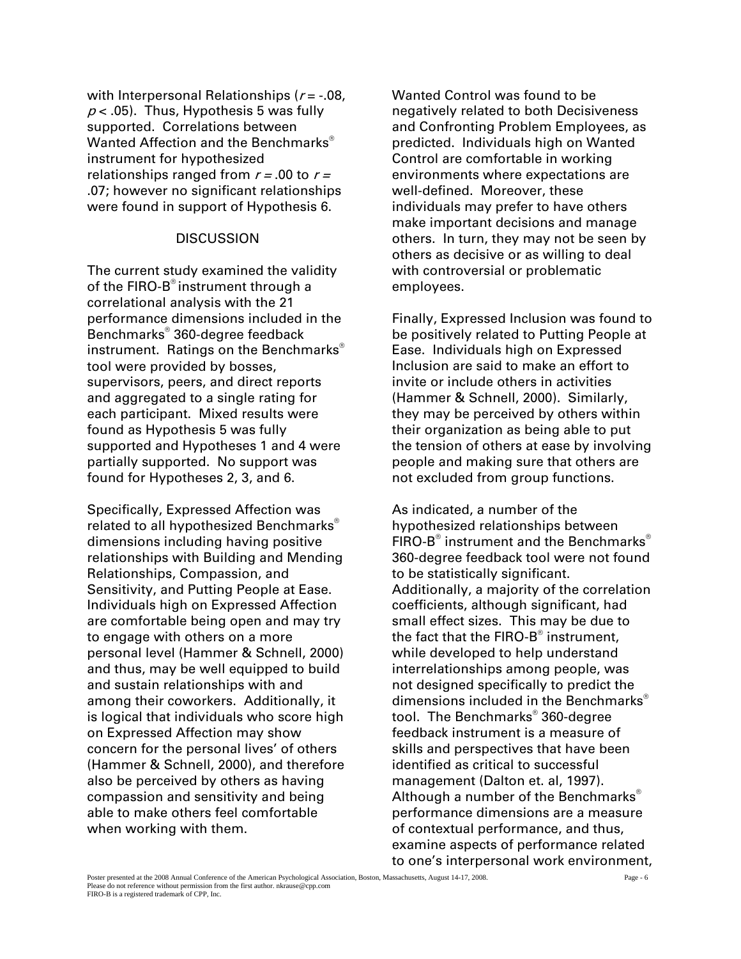with Interpersonal Relationships ( $r = -0.08$ ,  $p$  < .05). Thus, Hypothesis 5 was fully supported. Correlations between Wanted Affection and the Benchmarks<sup>®</sup> instrument for hypothesized relationships ranged from  $r = .00$  to  $r =$ .07; however no significant relationships were found in support of Hypothesis 6.

#### **DISCUSSION**

The current study examined the validity of the FIRO-B<sup>®</sup> instrument through a correlational analysis with the 21 performance dimensions included in the Benchmarks® 360-degree feedback instrument. Ratings on the Benchmarks® tool were provided by bosses, supervisors, peers, and direct reports and aggregated to a single rating for each participant. Mixed results were found as Hypothesis 5 was fully supported and Hypotheses 1 and 4 were partially supported. No support was found for Hypotheses 2, 3, and 6.

Specifically, Expressed Affection was related to all hypothesized Benchmarks<sup>®</sup> dimensions including having positive relationships with Building and Mending Relationships, Compassion, and Sensitivity, and Putting People at Ease. Individuals high on Expressed Affection are comfortable being open and may try to engage with others on a more personal level (Hammer & Schnell, 2000) and thus, may be well equipped to build and sustain relationships with and among their coworkers. Additionally, it is logical that individuals who score high on Expressed Affection may show concern for the personal lives' of others (Hammer & Schnell, 2000), and therefore also be perceived by others as having compassion and sensitivity and being able to make others feel comfortable when working with them.

Wanted Control was found to be negatively related to both Decisiveness and Confronting Problem Employees, as predicted. Individuals high on Wanted Control are comfortable in working environments where expectations are well-defined. Moreover, these individuals may prefer to have others make important decisions and manage others. In turn, they may not be seen by others as decisive or as willing to deal with controversial or problematic employees.

Finally, Expressed Inclusion was found to be positively related to Putting People at Ease. Individuals high on Expressed Inclusion are said to make an effort to invite or include others in activities (Hammer & Schnell, 2000). Similarly, they may be perceived by others within their organization as being able to put the tension of others at ease by involving people and making sure that others are not excluded from group functions.

As indicated, a number of the hypothesized relationships between FIRO-B $^{\circ}$  instrument and the Benchmarks $^{\circ}$ 360-degree feedback tool were not found to be statistically significant. Additionally, a majority of the correlation coefficients, although significant, had small effect sizes. This may be due to the fact that the FIRO-B $^{\circ}$  instrument, while developed to help understand interrelationships among people, was not designed specifically to predict the dimensions included in the Benchmarks<sup>®</sup> tool. The Benchmarks® 360-degree feedback instrument is a measure of skills and perspectives that have been identified as critical to successful management (Dalton et. al, 1997). Although a number of the Benchmarks<sup>®</sup> performance dimensions are a measure of contextual performance, and thus, examine aspects of performance related to one's interpersonal work environment,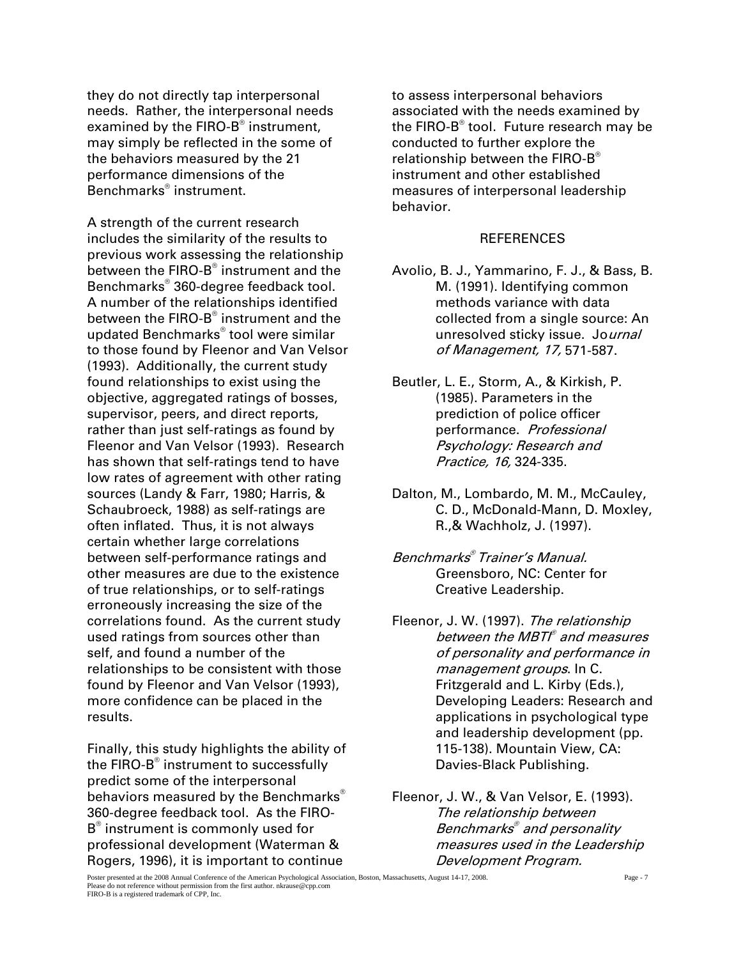they do not directly tap interpersonal needs. Rather, the interpersonal needs examined by the FIRO-B $^\circ$  instrument, may simply be reflected in the some of the behaviors measured by the 21 performance dimensions of the Benchmarks® instrument.

A strength of the current research includes the similarity of the results to previous work assessing the relationship between the FIRO-B® instrument and the Benchmarks® 360-degree feedback tool. A number of the relationships identified between the FIRO-B® instrument and the updated Benchmarks® tool were similar to those found by Fleenor and Van Velsor (1993). Additionally, the current study found relationships to exist using the objective, aggregated ratings of bosses, supervisor, peers, and direct reports, rather than just self-ratings as found by Fleenor and Van Velsor (1993). Research has shown that self-ratings tend to have low rates of agreement with other rating sources (Landy & Farr, 1980; Harris, & Schaubroeck, 1988) as self-ratings are often inflated. Thus, it is not always certain whether large correlations between self-performance ratings and other measures are due to the existence of true relationships, or to self-ratings erroneously increasing the size of the correlations found. As the current study used ratings from sources other than self, and found a number of the relationships to be consistent with those found by Fleenor and Van Velsor (1993), more confidence can be placed in the results.

Finally, this study highlights the ability of the FIRO-B $^{\circ}$  instrument to successfully predict some of the interpersonal behaviors measured by the Benchmarks<sup>®</sup> 360-degree feedback tool. As the FIRO-B® instrument is commonly used for professional development (Waterman & Rogers, 1996), it is important to continue

to assess interpersonal behaviors associated with the needs examined by the FIRO-B® tool. Future research may be conducted to further explore the relationship between the FIRO-B<sup>®</sup> instrument and other established measures of interpersonal leadership behavior.

#### **REFERENCES**

- Avolio, B. J., Yammarino, F. J., & Bass, B. M. (1991). Identifying common methods variance with data collected from a single source: An unresolved sticky issue. Journal of Management, 17, 571-587.
- Beutler, L. E., Storm, A., & Kirkish, P. (1985). Parameters in the prediction of police officer performance. Professional Psychology: Research and Practice, 16, 324-335.
- Dalton, M., Lombardo, M. M., McCauley, C. D., McDonald-Mann, D. Moxley, R.,& Wachholz, J. (1997).
- Benchmarks® Trainer's Manual. Greensboro, NC: Center for Creative Leadership.
- Fleenor, J. W. (1997). The relationship between the MBTI® and measures of personality and performance in management groups. In C. Fritzgerald and L. Kirby (Eds.), Developing Leaders: Research and applications in psychological type and leadership development (pp. 115-138). Mountain View, CA: Davies-Black Publishing.
- Fleenor, J. W., & Van Velsor, E. (1993). The relationship between Benchmarks® and personality measures used in the Leadership Development Program.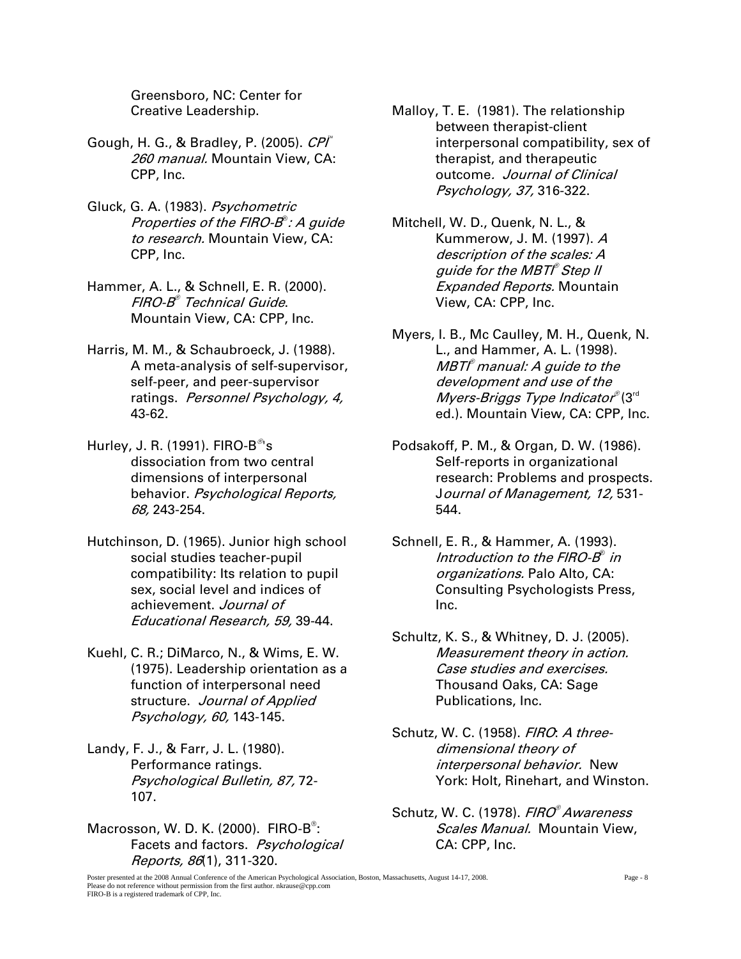Greensboro, NC: Center for Creative Leadership.

- Gough, H. G., & Bradley, P. (2005). CPI 260 manual. Mountain View, CA: CPP, Inc.
- Gluck, G. A. (1983). Psychometric Properties of the FIRO-B® : A guide to research. Mountain View, CA: CPP, Inc.
- Hammer, A. L., & Schnell, E. R. (2000). FIRO-B® Technical Guide. Mountain View, CA: CPP, Inc.
- Harris, M. M., & Schaubroeck, J. (1988). A meta-analysis of self-supervisor, self-peer, and peer-supervisor ratings. Personnel Psychology, 4, 43-62.
- Hurley, J. R. (1991). FIRO- $B^{\mathcal{O}}$ 's dissociation from two central dimensions of interpersonal behavior. Psychological Reports, 68, 243-254.
- Hutchinson, D. (1965). Junior high school social studies teacher-pupil compatibility: Its relation to pupil sex, social level and indices of achievement. Journal of Educational Research, 59, 39-44.
- Kuehl, C. R.; DiMarco, N., & Wims, E. W. (1975). Leadership orientation as a function of interpersonal need structure. Journal of Applied Psychology, 60, 143-145.
- Landy, F. J., & Farr, J. L. (1980). Performance ratings. Psychological Bulletin, 87, 72- 107.
- Macrosson, W. D. K. (2000). FIRO-B<sup>®</sup>: Facets and factors. Psychological Reports, 86(1), 311-320.
- Malloy, T. E. (1981). The relationship between therapist-client interpersonal compatibility, sex of therapist, and therapeutic outcome. Journal of Clinical Psychology, 37, 316-322.
- Mitchell, W. D., Quenk, N. L., & Kummerow, J. M. (1997). A description of the scales: A guide for the MBTI® Step II **Expanded Reports. Mountain** View, CA: CPP, Inc.
- Myers, I. B., Mc Caulley, M. H., Quenk, N. L., and Hammer, A. L. (1998). MBTl® manual: A guide to the development and use of the Myers-Briggs Type Indicator®(3<sup>rd</sup> ed.). Mountain View, CA: CPP, Inc.
- Podsakoff, P. M., & Organ, D. W. (1986). Self-reports in organizational research: Problems and prospects. Journal of Management, 12, 531- 544.
- Schnell, E. R., & Hammer, A. (1993). Introduction to the FIRO-B® in organizations. Palo Alto, CA: Consulting Psychologists Press, Inc.
- Schultz, K. S., & Whitney, D. J. (2005). Measurement theory in action. Case studies and exercises. Thousand Oaks, CA: Sage Publications, Inc.
- Schutz, W. C. (1958). FIRO: A threedimensional theory of interpersonal behavior. New York: Holt, Rinehart, and Winston.
- Schutz, W. C. (1978). FIRO<sup>®</sup> Awareness Scales Manual. Mountain View. CA: CPP, Inc.

Poster presented at the 2008 Annual Conference of the American Psychological Association, Boston, Massachusetts, August 14-17, 2008. Page - 8 Please do not reference without permission from the first author. nkrause@cpp.com FIRO-B is a registered trademark of CPP, Inc.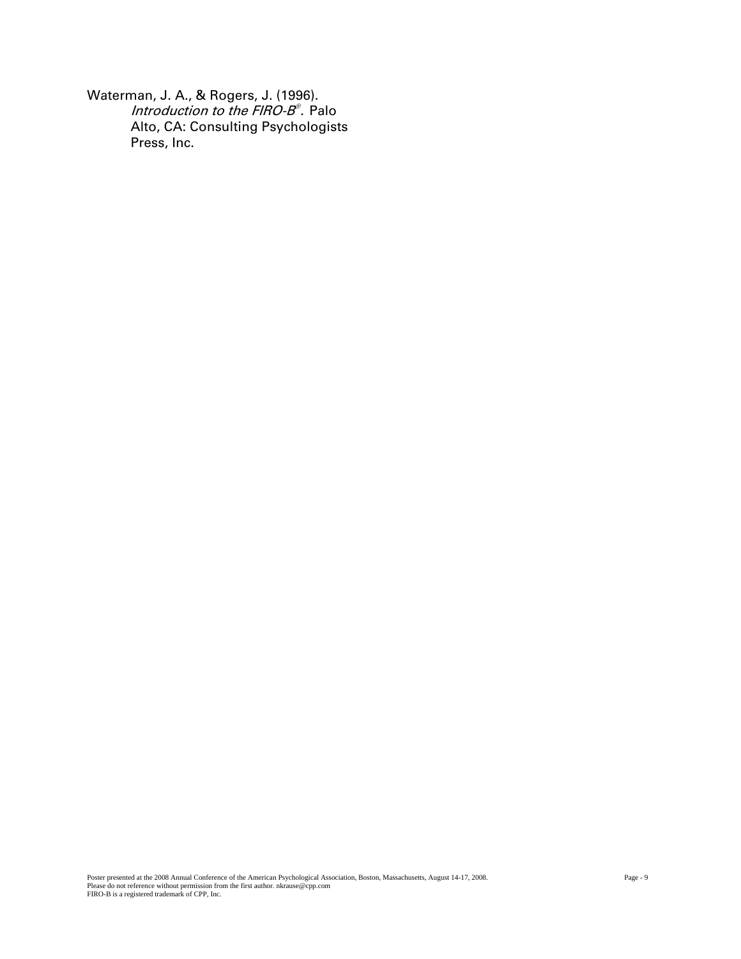Waterman, J. A., & Rogers, J. (1996). Introduction to the FIRO-B<sup>®</sup>. Palo Alto, CA: Consulting Psychologists Press, Inc.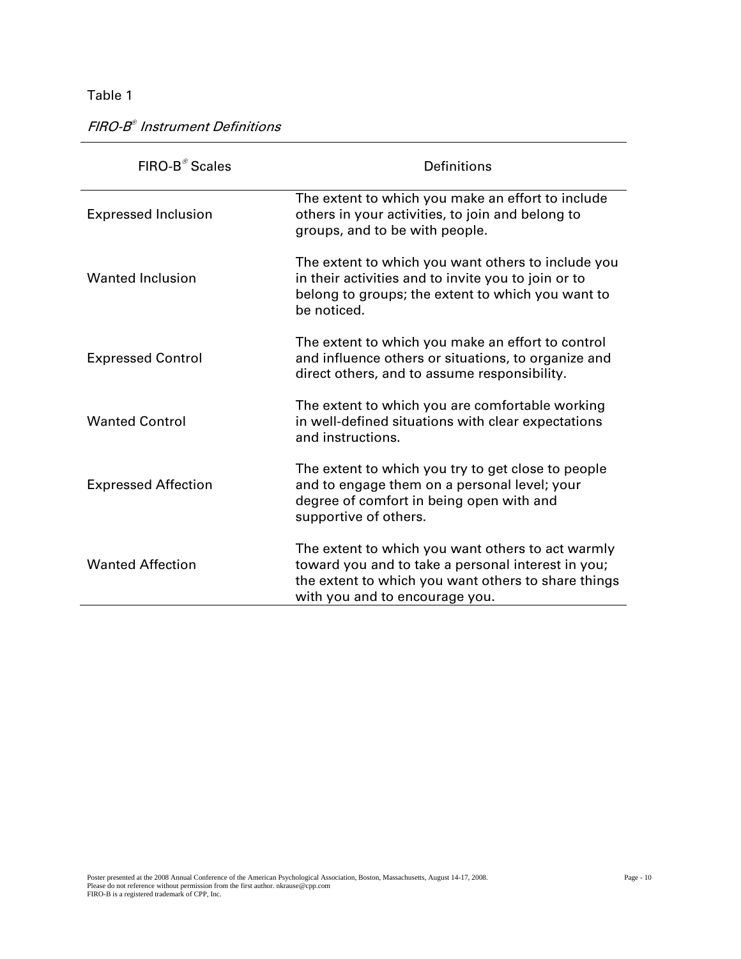FIRO-B® Instrument Definitions

| FIRO-B <sup>®</sup> Scales | <b>Definitions</b>                                                                                                                                                                               |
|----------------------------|--------------------------------------------------------------------------------------------------------------------------------------------------------------------------------------------------|
| <b>Expressed Inclusion</b> | The extent to which you make an effort to include<br>others in your activities, to join and belong to<br>groups, and to be with people.                                                          |
| <b>Wanted Inclusion</b>    | The extent to which you want others to include you<br>in their activities and to invite you to join or to<br>belong to groups; the extent to which you want to<br>be noticed.                    |
| <b>Expressed Control</b>   | The extent to which you make an effort to control<br>and influence others or situations, to organize and<br>direct others, and to assume responsibility.                                         |
| <b>Wanted Control</b>      | The extent to which you are comfortable working<br>in well-defined situations with clear expectations<br>and instructions.                                                                       |
| <b>Expressed Affection</b> | The extent to which you try to get close to people<br>and to engage them on a personal level; your<br>degree of comfort in being open with and<br>supportive of others.                          |
| <b>Wanted Affection</b>    | The extent to which you want others to act warmly<br>toward you and to take a personal interest in you;<br>the extent to which you want others to share things<br>with you and to encourage you. |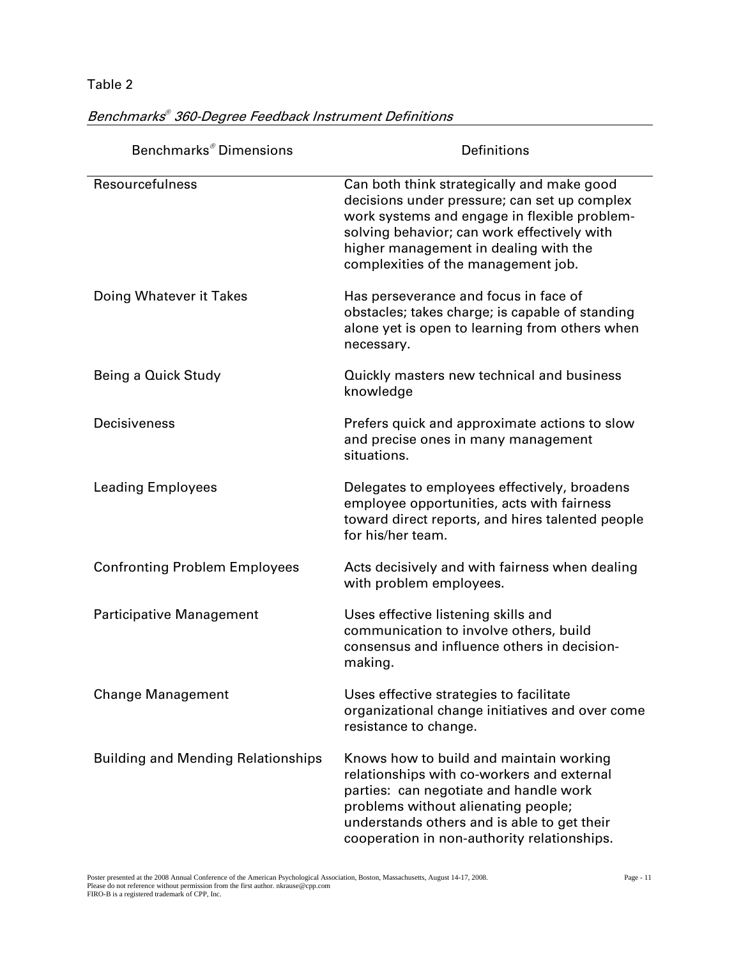| Benchmarks <sup>®</sup> Dimensions        | <b>Definitions</b>                                                                                                                                                                                                                                                        |
|-------------------------------------------|---------------------------------------------------------------------------------------------------------------------------------------------------------------------------------------------------------------------------------------------------------------------------|
| Resourcefulness                           | Can both think strategically and make good<br>decisions under pressure; can set up complex<br>work systems and engage in flexible problem-<br>solving behavior; can work effectively with<br>higher management in dealing with the<br>complexities of the management job. |
| Doing Whatever it Takes                   | Has perseverance and focus in face of<br>obstacles; takes charge; is capable of standing<br>alone yet is open to learning from others when<br>necessary.                                                                                                                  |
| Being a Quick Study                       | Quickly masters new technical and business<br>knowledge                                                                                                                                                                                                                   |
| <b>Decisiveness</b>                       | Prefers quick and approximate actions to slow<br>and precise ones in many management<br>situations.                                                                                                                                                                       |
| <b>Leading Employees</b>                  | Delegates to employees effectively, broadens<br>employee opportunities, acts with fairness<br>toward direct reports, and hires talented people<br>for his/her team.                                                                                                       |
| <b>Confronting Problem Employees</b>      | Acts decisively and with fairness when dealing<br>with problem employees.                                                                                                                                                                                                 |
| Participative Management                  | Uses effective listening skills and<br>communication to involve others, build<br>consensus and influence others in decision-<br>making.                                                                                                                                   |
| <b>Change Management</b>                  | Uses effective strategies to facilitate<br>organizational change initiatives and over come<br>resistance to change.                                                                                                                                                       |
| <b>Building and Mending Relationships</b> | Knows how to build and maintain working<br>relationships with co-workers and external<br>parties: can negotiate and handle work<br>problems without alienating people;<br>understands others and is able to get their<br>cooperation in non-authority relationships.      |

#### Benchmarks® 360-Degree Feedback Instrument Definitions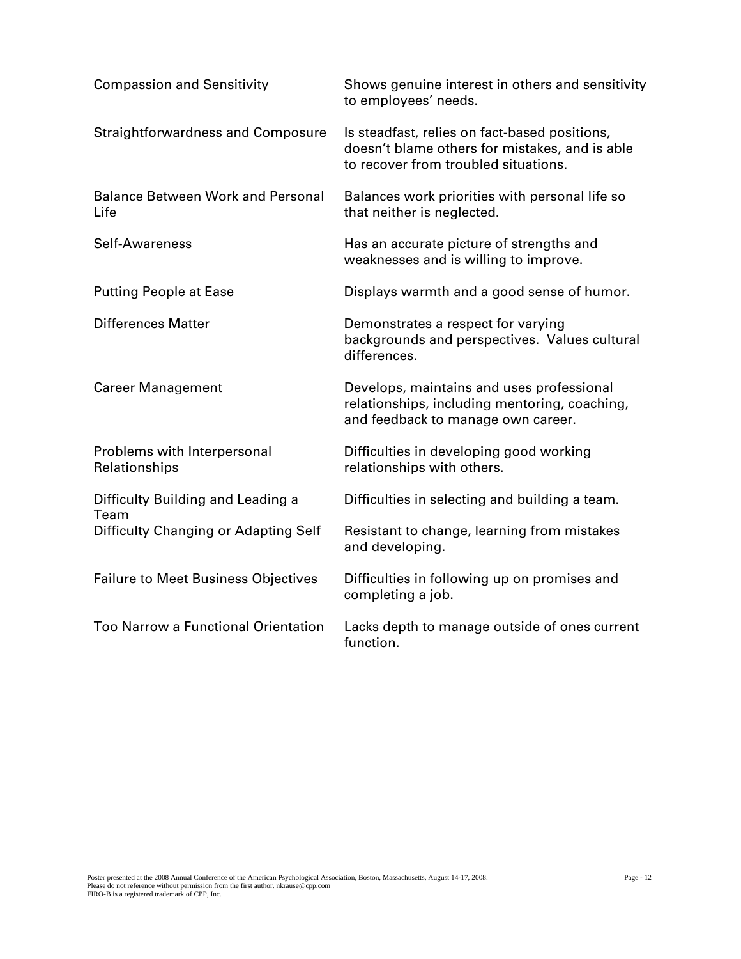| <b>Compassion and Sensitivity</b>                | Shows genuine interest in others and sensitivity<br>to employees' needs.                                                                |
|--------------------------------------------------|-----------------------------------------------------------------------------------------------------------------------------------------|
| <b>Straightforwardness and Composure</b>         | Is steadfast, relies on fact-based positions,<br>doesn't blame others for mistakes, and is able<br>to recover from troubled situations. |
| <b>Balance Between Work and Personal</b><br>Life | Balances work priorities with personal life so<br>that neither is neglected.                                                            |
| Self-Awareness                                   | Has an accurate picture of strengths and<br>weaknesses and is willing to improve.                                                       |
| <b>Putting People at Ease</b>                    | Displays warmth and a good sense of humor.                                                                                              |
| <b>Differences Matter</b>                        | Demonstrates a respect for varying<br>backgrounds and perspectives. Values cultural<br>differences.                                     |
| <b>Career Management</b>                         | Develops, maintains and uses professional<br>relationships, including mentoring, coaching,<br>and feedback to manage own career.        |
| Problems with Interpersonal<br>Relationships     | Difficulties in developing good working<br>relationships with others.                                                                   |
| Difficulty Building and Leading a<br>Team        | Difficulties in selecting and building a team.                                                                                          |
| Difficulty Changing or Adapting Self             | Resistant to change, learning from mistakes<br>and developing.                                                                          |
| <b>Failure to Meet Business Objectives</b>       | Difficulties in following up on promises and<br>completing a job.                                                                       |
| <b>Too Narrow a Functional Orientation</b>       | Lacks depth to manage outside of ones current<br>function.                                                                              |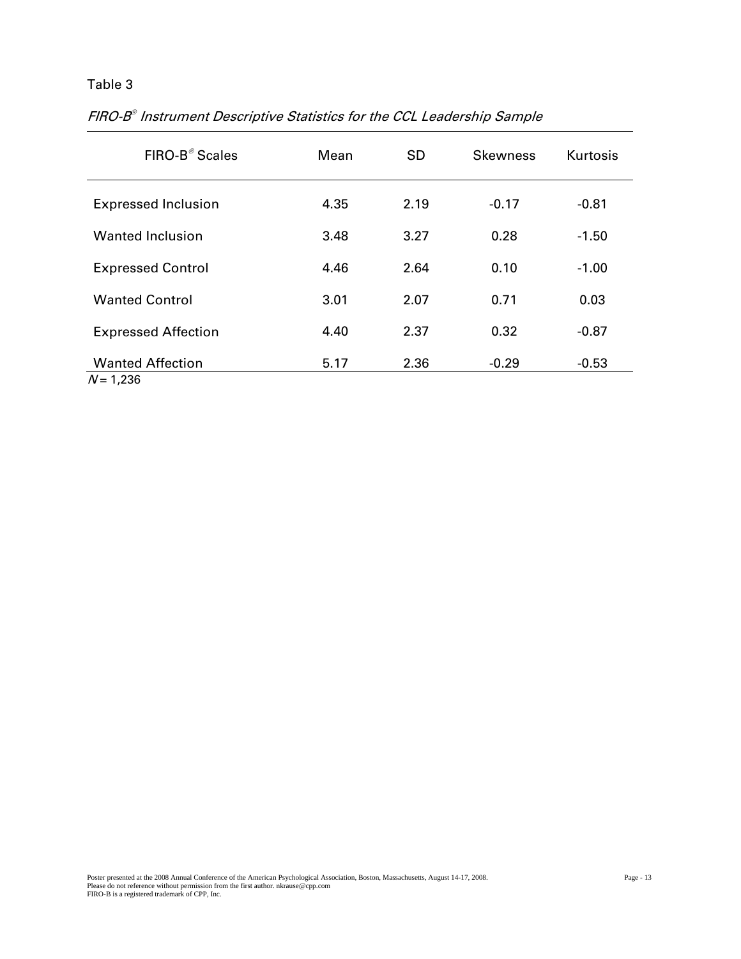| FIRO-B <sup>®</sup> Scales             | Mean | <b>SD</b> | <b>Skewness</b> | Kurtosis |
|----------------------------------------|------|-----------|-----------------|----------|
| <b>Expressed Inclusion</b>             | 4.35 | 2.19      | $-0.17$         | $-0.81$  |
| <b>Wanted Inclusion</b>                | 3.48 | 3.27      | 0.28            | $-1.50$  |
| <b>Expressed Control</b>               | 4.46 | 2.64      | 0.10            | $-1.00$  |
| <b>Wanted Control</b>                  | 3.01 | 2.07      | 0.71            | 0.03     |
| <b>Expressed Affection</b>             | 4.40 | 2.37      | 0.32            | $-0.87$  |
| <b>Wanted Affection</b><br>$N = 1,236$ | 5.17 | 2.36      | $-0.29$         | $-0.53$  |

FIRO-B® Instrument Descriptive Statistics for the CCL Leadership Sample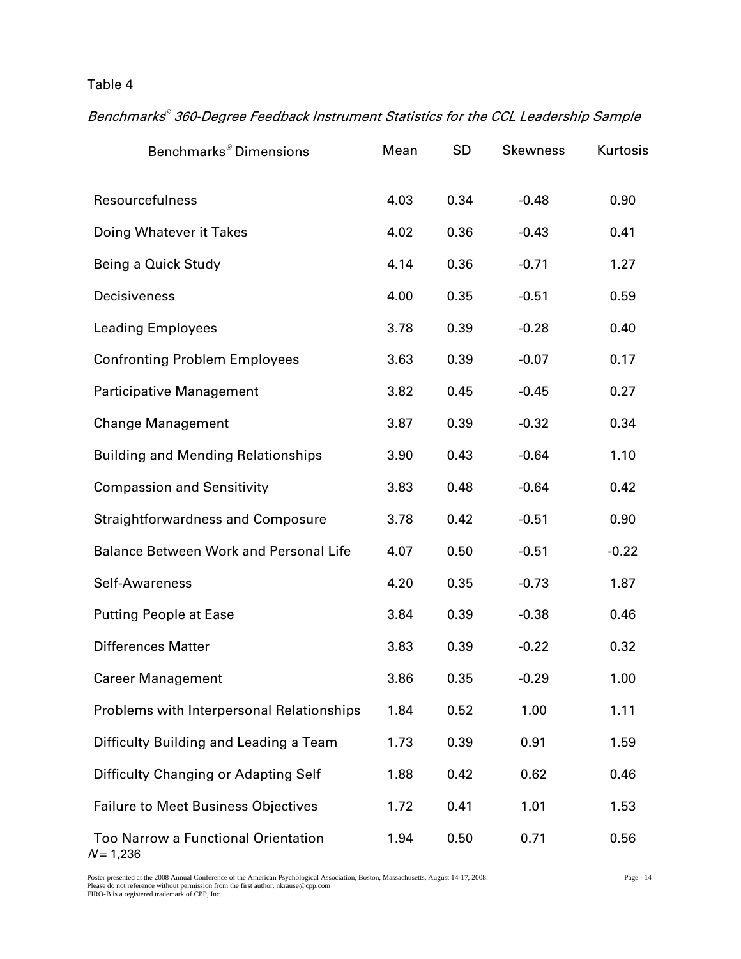| Benchmarks <sup>®</sup> Dimensions                        | Mean | <b>SD</b> | <b>Skewness</b> | Kurtosis |
|-----------------------------------------------------------|------|-----------|-----------------|----------|
| Resourcefulness                                           | 4.03 | 0.34      | $-0.48$         | 0.90     |
| Doing Whatever it Takes                                   | 4.02 | 0.36      | $-0.43$         | 0.41     |
| Being a Quick Study                                       | 4.14 | 0.36      | $-0.71$         | 1.27     |
| Decisiveness                                              | 4.00 | 0.35      | $-0.51$         | 0.59     |
| <b>Leading Employees</b>                                  | 3.78 | 0.39      | $-0.28$         | 0.40     |
| <b>Confronting Problem Employees</b>                      | 3.63 | 0.39      | $-0.07$         | 0.17     |
| <b>Participative Management</b>                           | 3.82 | 0.45      | $-0.45$         | 0.27     |
| <b>Change Management</b>                                  | 3.87 | 0.39      | $-0.32$         | 0.34     |
| <b>Building and Mending Relationships</b>                 | 3.90 | 0.43      | $-0.64$         | 1.10     |
| <b>Compassion and Sensitivity</b>                         | 3.83 | 0.48      | $-0.64$         | 0.42     |
| <b>Straightforwardness and Composure</b>                  | 3.78 | 0.42      | $-0.51$         | 0.90     |
| <b>Balance Between Work and Personal Life</b>             | 4.07 | 0.50      | $-0.51$         | $-0.22$  |
| Self-Awareness                                            | 4.20 | 0.35      | $-0.73$         | 1.87     |
| <b>Putting People at Ease</b>                             | 3.84 | 0.39      | $-0.38$         | 0.46     |
| <b>Differences Matter</b>                                 | 3.83 | 0.39      | $-0.22$         | 0.32     |
| <b>Career Management</b>                                  | 3.86 | 0.35      | $-0.29$         | 1.00     |
| Problems with Interpersonal Relationships                 | 1.84 | 0.52      | 1.00            | 1.11     |
| Difficulty Building and Leading a Team                    | 1.73 | 0.39      | 0.91            | 1.59     |
| Difficulty Changing or Adapting Self                      | 1.88 | 0.42      | 0.62            | 0.46     |
| <b>Failure to Meet Business Objectives</b>                | 1.72 | 0.41      | 1.01            | 1.53     |
| <b>Too Narrow a Functional Orientation</b><br>$N = 1,236$ | 1.94 | 0.50      | 0.71            | 0.56     |

Benchmarks® 360-Degree Feedback Instrument Statistics for the CCL Leadership Sample

Poster presented at the 2008 Annual Conference of the American Psychological Association, Boston, Massachusetts, August 14-17, 2008.<br>Please do not reference without permission from the first author. nkrause@cpp.com<br>FIRO-B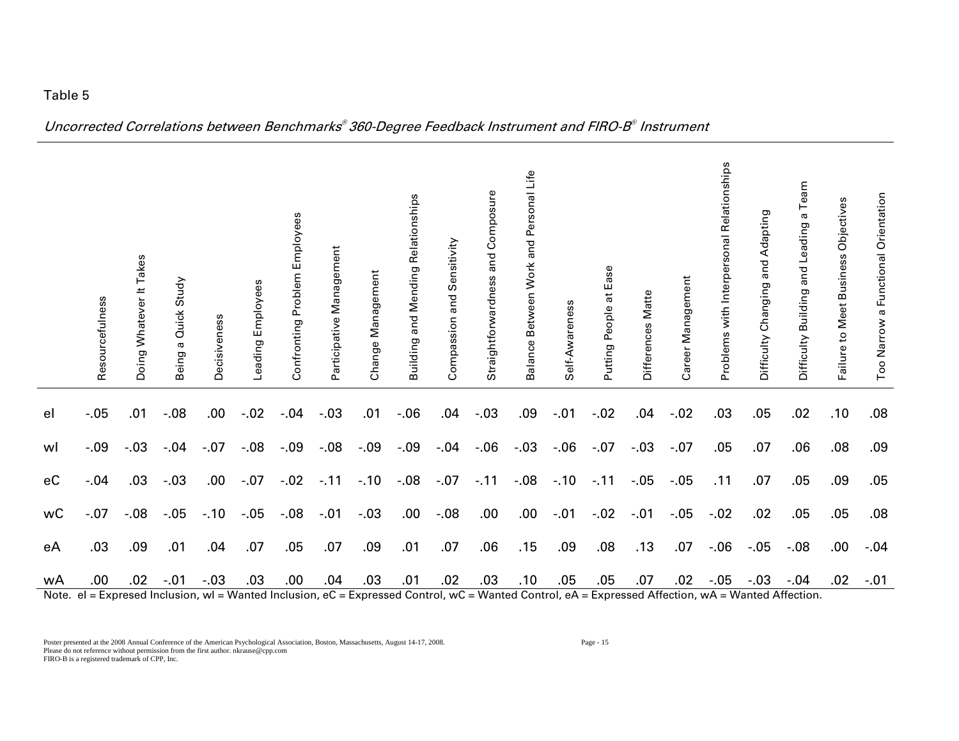|               | Resourcefulness | Doing Whatever It Takes | Study<br>Quick<br><b>G</b><br>Being | Decisiveness | Leading Employees                     | Employees<br>Problem<br>Confronting | Participative Management           | Change Management | and Mending Relationships<br>Building | Sensitivity<br>and<br>Compassion | Composure<br>Straightforwardness and | ⊔ife<br>and Personal<br>Balance Between Work | Self-Awareness                                              | Putting People at Ease | Differences Matte | Career Management | Problems with Interpersonal Relationships | Adapting<br>and<br>Difficulty Changing | Team<br>$\varpi$<br>and Leading<br>Difficulty Building | Objectives<br>Failure to Meet Business | Too Narrow a Functional Orientation |
|---------------|-----------------|-------------------------|-------------------------------------|--------------|---------------------------------------|-------------------------------------|------------------------------------|-------------------|---------------------------------------|----------------------------------|--------------------------------------|----------------------------------------------|-------------------------------------------------------------|------------------------|-------------------|-------------------|-------------------------------------------|----------------------------------------|--------------------------------------------------------|----------------------------------------|-------------------------------------|
| el            | $-.05$          | .01                     | $-0.08$                             | .00.         | $-.02$                                | $-.04$                              | $-.03$                             | .01               | $-0.06$                               | .04                              | $-03$                                | .09                                          | $-.01$                                                      | $-.02$                 | .04               | $-.02$            | .03                                       | .05                                    | .02                                                    | .10                                    | .08                                 |
| wl            | $-.09$          | $-.03$                  | $-.04$                              | $-.07$       | $-0.08$                               | $-0.9$                              | $-0.08$                            | $-.09$            | $-.09$                                | $-.04$                           | $-06$                                | $-.03$                                       | $-0.06$                                                     | $-.07$                 | $-.03$            | $-.07$            | .05                                       | .07                                    | .06                                                    | .08                                    | .09                                 |
| eC            | $-.04$          | .03                     | $-.03$                              | .00.         | $-.07$                                | $-.02$                              | $-.11$                             | $-.10$            | $-.08$                                | $-.07$                           | $-.11$                               | $-0.08$                                      | $-.10$                                                      | $-.11$                 | $-0.05$           | $-.05$            | .11                                       | .07                                    | .05                                                    | .09                                    | .05                                 |
| wC            | $-.07$          | $-.08$                  | $-.05$                              | $-.10$       | $-0.05$                               | $-0.08$                             | $-.01$                             | $-.03$            | .00                                   | $-.08$                           | .00                                  | .00.                                         | $-.01$                                                      | $-.02$                 | $-.01$            | $-05$             | $-.02$                                    | .02                                    | .05                                                    | .05                                    | .08                                 |
| eA            | .03             | .09                     | .01                                 | .04          | .07                                   | .05                                 | .07                                | .09               | .01                                   | .07                              | .06                                  | .15                                          | .09                                                         | .08                    | .13               | .07               | $-.06$                                    | $-05$                                  | $-.08$                                                 | .00                                    | $-.04$                              |
| wA<br>$N = 1$ | .00             | .02                     | $-.01$<br>وستحدث المسالمات          | $-.03$       | .03<br>and <b>Managed</b> be about an | .00                                 | .04<br>$\sim$ $\sim$ $\sim$ $\sim$ | .03               | .01                                   | .02                              | .03                                  | .10                                          | .05<br>$\sim$ d Gentuel $\sim$ G Wented Gentuel e $\Lambda$ | .05<br>$F_{\rm{max}}$  | .07               | .02               | $-.05$<br>and Affairs and Mented Affaith  | $-.03$                                 | $-.04$                                                 | .02                                    | $-.01$                              |

Uncorrected Correlations between Benchmarks® 360-Degree Feedback Instrument and FIRO-B® Instrument

Note. el = Expresed Inclusion, wl = Wanted Inclusion, eC = Expressed Control, wC = Wanted Control, eA = Expressed Affection, wA = Wanted Affection.

Poster presented at the 2008 Annual Conference of the American Psychological Association, Boston, Massachusetts, August 14-17, 2008. Page - 15 Please do not reference without permission from the first author. nkrause@cpp.com FIRO-B is a registered trademark of CPP, Inc.

Table 5